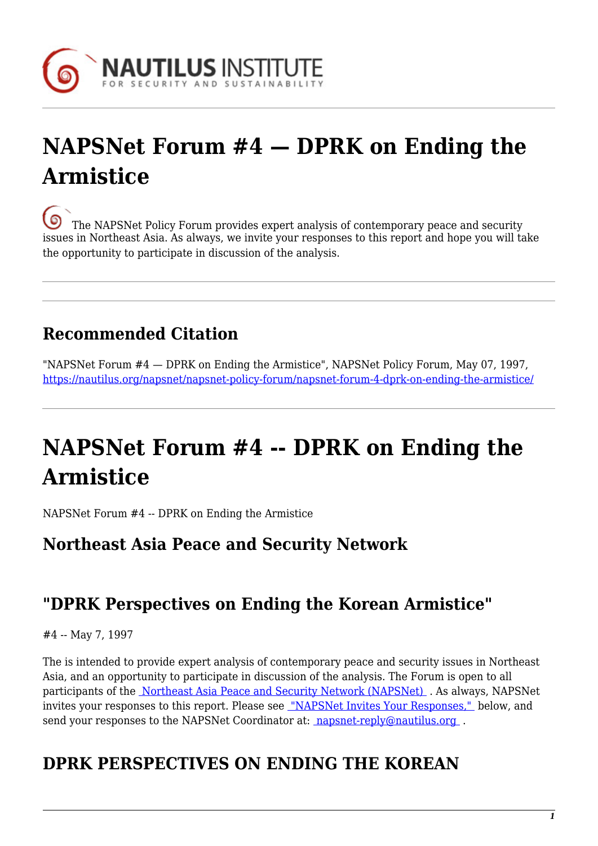

# **NAPSNet Forum #4 — DPRK on Ending the Armistice**

[T](https://nautilus.org/wp-content/uploads/2013/05/nautilus-logo-small.png)he NAPSNet Policy Forum provides expert analysis of contemporary peace and security issues in Northeast Asia. As always, we invite your responses to this report and hope you will take the opportunity to participate in discussion of the analysis.

## **Recommended Citation**

"NAPSNet Forum #4 — DPRK on Ending the Armistice", NAPSNet Policy Forum, May 07, 1997, <https://nautilus.org/napsnet/napsnet-policy-forum/napsnet-forum-4-dprk-on-ending-the-armistice/>

# **NAPSNet Forum #4 -- DPRK on Ending the Armistice**

NAPSNet Forum #4 -- DPRK on Ending the Armistice

#### **Northeast Asia Peace and Security Network**

#### **"DPRK Perspectives on Ending the Korean Armistice"**

#4 -- May 7, 1997

The is intended to provide expert analysis of contemporary peace and security issues in Northeast Asia, and an opportunity to participate in discussion of the analysis. The Forum is open to all participants of the [Northeast Asia Peace and Security Network \(NAPSNet\)](http://nautilus.org/napsnet/index.html) . As always, NAPSNet invites your responses to this report. Please see ["NAPSNet Invites Your Responses,"](#page-22-0) below, and send your responses to the NAPSNet Coordinator at: napsnet-reply@nautilus.org.

## **DPRK PERSPECTIVES ON ENDING THE KOREAN**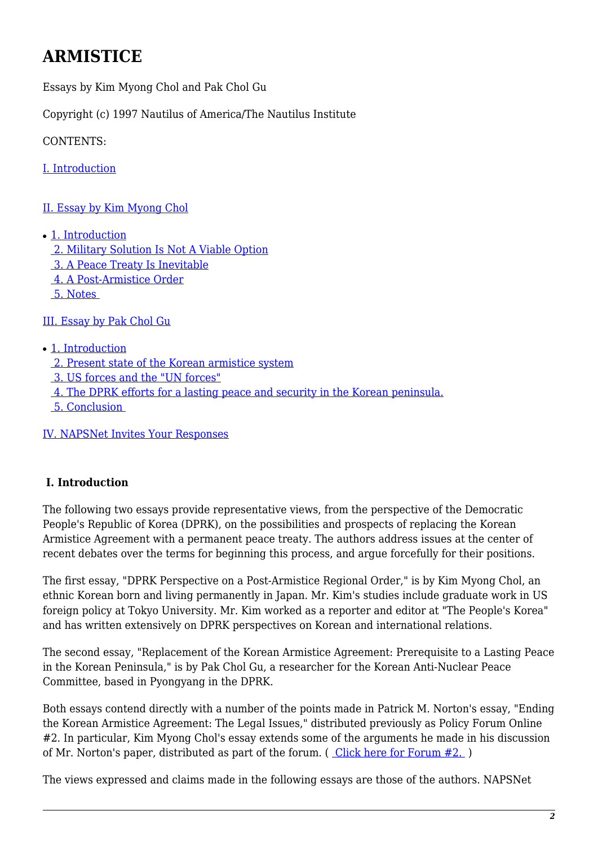### **ARMISTICE**

Essays by Kim Myong Chol and Pak Chol Gu

Copyright (c) 1997 Nautilus of America/The Nautilus Institute

CONTENTS:

[I. Introduction](#page-1-0)

- [II. Essay by Kim Myong Chol](#page-2-0)
- [1. Introduction](#page-2-1)
	- [2. Military Solution Is Not A Viable Option](#page-2-2)
	- [3. A Peace Treaty Is Inevitable](#page-6-0)
	- [4. A Post-Armistice Order](#page-11-0)
	- [5. Notes](#page-14-0)

[III. Essay by Pak Chol Gu](#page-16-0)

- [1. Introduction](#page-16-1)
	- [2. Present state of the Korean armistice system](#page-17-0)
	- [3. US forces and the "UN forces"](#page-19-0)
	- [4. The DPRK efforts for a lasting peace and security in the Korean peninsula.](#page-21-0)
	- [5. Conclusion](#page-22-1)

[IV. NAPSNet Invites Your Responses](#page-22-0)

#### <span id="page-1-0"></span> **I. Introduction**

The following two essays provide representative views, from the perspective of the Democratic People's Republic of Korea (DPRK), on the possibilities and prospects of replacing the Korean Armistice Agreement with a permanent peace treaty. The authors address issues at the center of recent debates over the terms for beginning this process, and argue forcefully for their positions.

The first essay, "DPRK Perspective on a Post-Armistice Regional Order," is by Kim Myong Chol, an ethnic Korean born and living permanently in Japan. Mr. Kim's studies include graduate work in US foreign policy at Tokyo University. Mr. Kim worked as a reporter and editor at "The People's Korea" and has written extensively on DPRK perspectives on Korean and international relations.

The second essay, "Replacement of the Korean Armistice Agreement: Prerequisite to a Lasting Peace in the Korean Peninsula," is by Pak Chol Gu, a researcher for the Korean Anti-Nuclear Peace Committee, based in Pyongyang in the DPRK.

Both essays contend directly with a number of the points made in Patrick M. Norton's essay, "Ending the Korean Armistice Agreement: The Legal Issues," distributed previously as Policy Forum Online #2. In particular, Kim Myong Chol's essay extends some of the arguments he made in his discussion of Mr. Norton's paper, distributed as part of the forum.  $($  Click here for Forum  $#2.$ )

The views expressed and claims made in the following essays are those of the authors. NAPSNet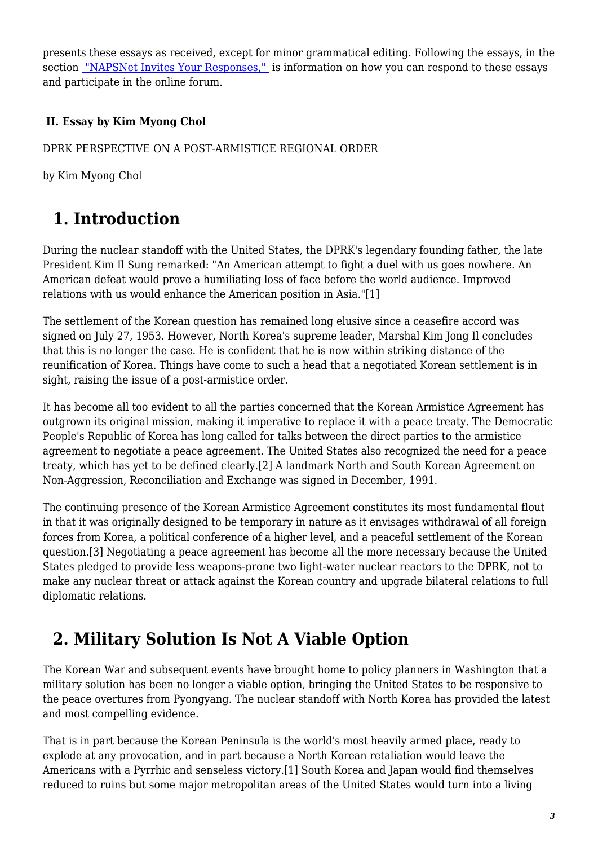presents these essays as received, except for minor grammatical editing. Following the essays, in the section ["NAPSNet Invites Your Responses,"](#page-22-0) is information on how you can respond to these essays and participate in the online forum.

#### <span id="page-2-0"></span> **II. Essay by Kim Myong Chol**

#### DPRK PERSPECTIVE ON A POST-ARMISTICE REGIONAL ORDER

<span id="page-2-1"></span>by Kim Myong Chol

## **1. Introduction**

During the nuclear standoff with the United States, the DPRK's legendary founding father, the late President Kim Il Sung remarked: "An American attempt to fight a duel with us goes nowhere. An American defeat would prove a humiliating loss of face before the world audience. Improved relations with us would enhance the American position in Asia."[1]

The settlement of the Korean question has remained long elusive since a ceasefire accord was signed on July 27, 1953. However, North Korea's supreme leader, Marshal Kim Jong Il concludes that this is no longer the case. He is confident that he is now within striking distance of the reunification of Korea. Things have come to such a head that a negotiated Korean settlement is in sight, raising the issue of a post-armistice order.

It has become all too evident to all the parties concerned that the Korean Armistice Agreement has outgrown its original mission, making it imperative to replace it with a peace treaty. The Democratic People's Republic of Korea has long called for talks between the direct parties to the armistice agreement to negotiate a peace agreement. The United States also recognized the need for a peace treaty, which has yet to be defined clearly.[2] A landmark North and South Korean Agreement on Non-Aggression, Reconciliation and Exchange was signed in December, 1991.

The continuing presence of the Korean Armistice Agreement constitutes its most fundamental flout in that it was originally designed to be temporary in nature as it envisages withdrawal of all foreign forces from Korea, a political conference of a higher level, and a peaceful settlement of the Korean question.[3] Negotiating a peace agreement has become all the more necessary because the United States pledged to provide less weapons-prone two light-water nuclear reactors to the DPRK, not to make any nuclear threat or attack against the Korean country and upgrade bilateral relations to full diplomatic relations.

#### <span id="page-2-2"></span> **2. Military Solution Is Not A Viable Option**

The Korean War and subsequent events have brought home to policy planners in Washington that a military solution has been no longer a viable option, bringing the United States to be responsive to the peace overtures from Pyongyang. The nuclear standoff with North Korea has provided the latest and most compelling evidence.

That is in part because the Korean Peninsula is the world's most heavily armed place, ready to explode at any provocation, and in part because a North Korean retaliation would leave the Americans with a Pyrrhic and senseless victory.[1] South Korea and Japan would find themselves reduced to ruins but some major metropolitan areas of the United States would turn into a living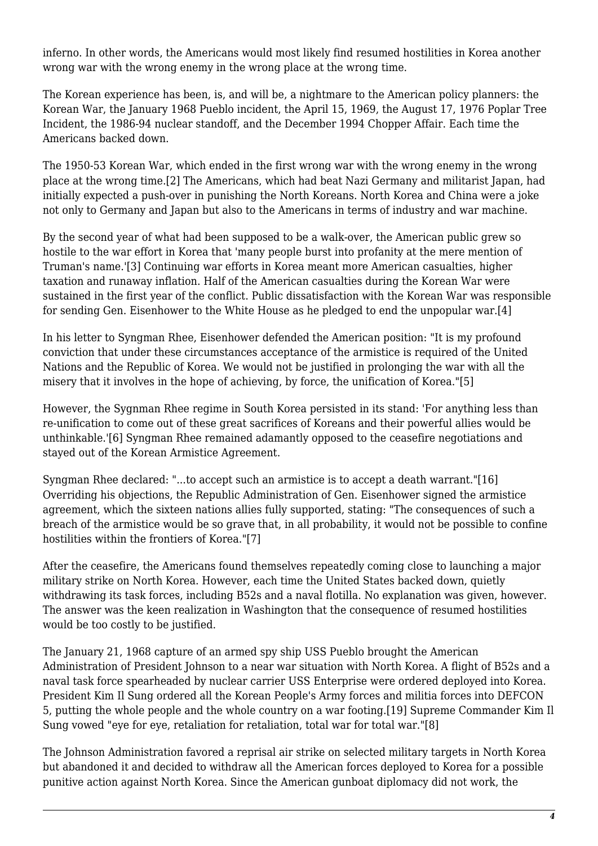inferno. In other words, the Americans would most likely find resumed hostilities in Korea another wrong war with the wrong enemy in the wrong place at the wrong time.

The Korean experience has been, is, and will be, a nightmare to the American policy planners: the Korean War, the January 1968 Pueblo incident, the April 15, 1969, the August 17, 1976 Poplar Tree Incident, the 1986-94 nuclear standoff, and the December 1994 Chopper Affair. Each time the Americans backed down.

The 1950-53 Korean War, which ended in the first wrong war with the wrong enemy in the wrong place at the wrong time.[2] The Americans, which had beat Nazi Germany and militarist Japan, had initially expected a push-over in punishing the North Koreans. North Korea and China were a joke not only to Germany and Japan but also to the Americans in terms of industry and war machine.

By the second year of what had been supposed to be a walk-over, the American public grew so hostile to the war effort in Korea that 'many people burst into profanity at the mere mention of Truman's name.'[3] Continuing war efforts in Korea meant more American casualties, higher taxation and runaway inflation. Half of the American casualties during the Korean War were sustained in the first year of the conflict. Public dissatisfaction with the Korean War was responsible for sending Gen. Eisenhower to the White House as he pledged to end the unpopular war.[4]

In his letter to Syngman Rhee, Eisenhower defended the American position: "It is my profound conviction that under these circumstances acceptance of the armistice is required of the United Nations and the Republic of Korea. We would not be justified in prolonging the war with all the misery that it involves in the hope of achieving, by force, the unification of Korea."[5]

However, the Sygnman Rhee regime in South Korea persisted in its stand: 'For anything less than re-unification to come out of these great sacrifices of Koreans and their powerful allies would be unthinkable.'[6] Syngman Rhee remained adamantly opposed to the ceasefire negotiations and stayed out of the Korean Armistice Agreement.

Syngman Rhee declared: "...to accept such an armistice is to accept a death warrant."[16] Overriding his objections, the Republic Administration of Gen. Eisenhower signed the armistice agreement, which the sixteen nations allies fully supported, stating: "The consequences of such a breach of the armistice would be so grave that, in all probability, it would not be possible to confine hostilities within the frontiers of Korea."[7]

After the ceasefire, the Americans found themselves repeatedly coming close to launching a major military strike on North Korea. However, each time the United States backed down, quietly withdrawing its task forces, including B52s and a naval flotilla. No explanation was given, however. The answer was the keen realization in Washington that the consequence of resumed hostilities would be too costly to be justified.

The January 21, 1968 capture of an armed spy ship USS Pueblo brought the American Administration of President Johnson to a near war situation with North Korea. A flight of B52s and a naval task force spearheaded by nuclear carrier USS Enterprise were ordered deployed into Korea. President Kim Il Sung ordered all the Korean People's Army forces and militia forces into DEFCON 5, putting the whole people and the whole country on a war footing.[19] Supreme Commander Kim Il Sung vowed "eye for eye, retaliation for retaliation, total war for total war."[8]

The Johnson Administration favored a reprisal air strike on selected military targets in North Korea but abandoned it and decided to withdraw all the American forces deployed to Korea for a possible punitive action against North Korea. Since the American gunboat diplomacy did not work, the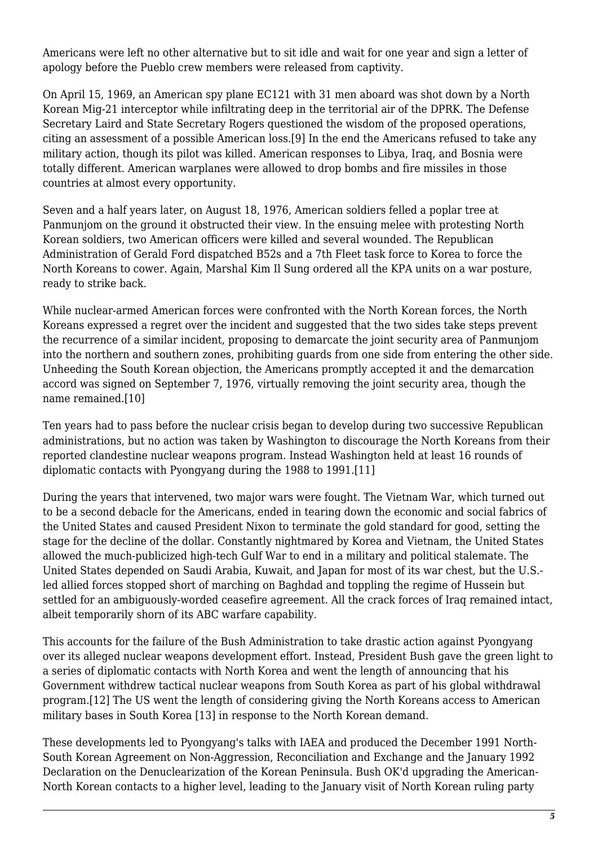Americans were left no other alternative but to sit idle and wait for one year and sign a letter of apology before the Pueblo crew members were released from captivity.

On April 15, 1969, an American spy plane EC121 with 31 men aboard was shot down by a North Korean Mig-21 interceptor while infiltrating deep in the territorial air of the DPRK. The Defense Secretary Laird and State Secretary Rogers questioned the wisdom of the proposed operations, citing an assessment of a possible American loss.[9] In the end the Americans refused to take any military action, though its pilot was killed. American responses to Libya, Iraq, and Bosnia were totally different. American warplanes were allowed to drop bombs and fire missiles in those countries at almost every opportunity.

Seven and a half years later, on August 18, 1976, American soldiers felled a poplar tree at Panmunjom on the ground it obstructed their view. In the ensuing melee with protesting North Korean soldiers, two American officers were killed and several wounded. The Republican Administration of Gerald Ford dispatched B52s and a 7th Fleet task force to Korea to force the North Koreans to cower. Again, Marshal Kim Il Sung ordered all the KPA units on a war posture, ready to strike back.

While nuclear-armed American forces were confronted with the North Korean forces, the North Koreans expressed a regret over the incident and suggested that the two sides take steps prevent the recurrence of a similar incident, proposing to demarcate the joint security area of Panmunjom into the northern and southern zones, prohibiting guards from one side from entering the other side. Unheeding the South Korean objection, the Americans promptly accepted it and the demarcation accord was signed on September 7, 1976, virtually removing the joint security area, though the name remained.[10]

Ten years had to pass before the nuclear crisis began to develop during two successive Republican administrations, but no action was taken by Washington to discourage the North Koreans from their reported clandestine nuclear weapons program. Instead Washington held at least 16 rounds of diplomatic contacts with Pyongyang during the 1988 to 1991.[11]

During the years that intervened, two major wars were fought. The Vietnam War, which turned out to be a second debacle for the Americans, ended in tearing down the economic and social fabrics of the United States and caused President Nixon to terminate the gold standard for good, setting the stage for the decline of the dollar. Constantly nightmared by Korea and Vietnam, the United States allowed the much-publicized high-tech Gulf War to end in a military and political stalemate. The United States depended on Saudi Arabia, Kuwait, and Japan for most of its war chest, but the U.S. led allied forces stopped short of marching on Baghdad and toppling the regime of Hussein but settled for an ambiguously-worded ceasefire agreement. All the crack forces of Iraq remained intact, albeit temporarily shorn of its ABC warfare capability.

This accounts for the failure of the Bush Administration to take drastic action against Pyongyang over its alleged nuclear weapons development effort. Instead, President Bush gave the green light to a series of diplomatic contacts with North Korea and went the length of announcing that his Government withdrew tactical nuclear weapons from South Korea as part of his global withdrawal program.[12] The US went the length of considering giving the North Koreans access to American military bases in South Korea [13] in response to the North Korean demand.

These developments led to Pyongyang's talks with IAEA and produced the December 1991 North-South Korean Agreement on Non-Aggression, Reconciliation and Exchange and the January 1992 Declaration on the Denuclearization of the Korean Peninsula. Bush OK'd upgrading the American-North Korean contacts to a higher level, leading to the January visit of North Korean ruling party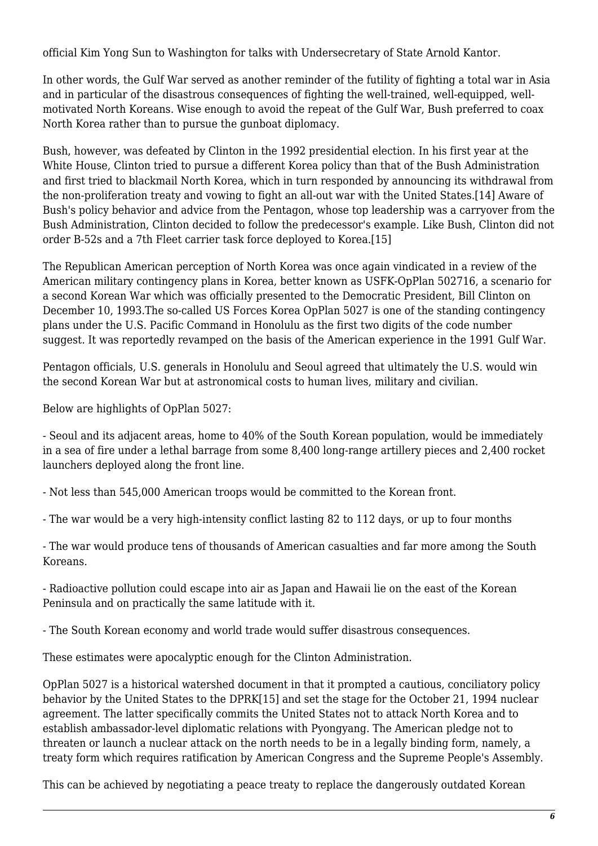official Kim Yong Sun to Washington for talks with Undersecretary of State Arnold Kantor.

In other words, the Gulf War served as another reminder of the futility of fighting a total war in Asia and in particular of the disastrous consequences of fighting the well-trained, well-equipped, wellmotivated North Koreans. Wise enough to avoid the repeat of the Gulf War, Bush preferred to coax North Korea rather than to pursue the gunboat diplomacy.

Bush, however, was defeated by Clinton in the 1992 presidential election. In his first year at the White House, Clinton tried to pursue a different Korea policy than that of the Bush Administration and first tried to blackmail North Korea, which in turn responded by announcing its withdrawal from the non-proliferation treaty and vowing to fight an all-out war with the United States.[14] Aware of Bush's policy behavior and advice from the Pentagon, whose top leadership was a carryover from the Bush Administration, Clinton decided to follow the predecessor's example. Like Bush, Clinton did not order B-52s and a 7th Fleet carrier task force deployed to Korea.[15]

The Republican American perception of North Korea was once again vindicated in a review of the American military contingency plans in Korea, better known as USFK-OpPlan 502716, a scenario for a second Korean War which was officially presented to the Democratic President, Bill Clinton on December 10, 1993.The so-called US Forces Korea OpPlan 5027 is one of the standing contingency plans under the U.S. Pacific Command in Honolulu as the first two digits of the code number suggest. It was reportedly revamped on the basis of the American experience in the 1991 Gulf War.

Pentagon officials, U.S. generals in Honolulu and Seoul agreed that ultimately the U.S. would win the second Korean War but at astronomical costs to human lives, military and civilian.

Below are highlights of OpPlan 5027:

- Seoul and its adjacent areas, home to 40% of the South Korean population, would be immediately in a sea of fire under a lethal barrage from some 8,400 long-range artillery pieces and 2,400 rocket launchers deployed along the front line.

- Not less than 545,000 American troops would be committed to the Korean front.

- The war would be a very high-intensity conflict lasting 82 to 112 days, or up to four months

- The war would produce tens of thousands of American casualties and far more among the South Koreans.

- Radioactive pollution could escape into air as Japan and Hawaii lie on the east of the Korean Peninsula and on practically the same latitude with it.

- The South Korean economy and world trade would suffer disastrous consequences.

These estimates were apocalyptic enough for the Clinton Administration.

OpPlan 5027 is a historical watershed document in that it prompted a cautious, conciliatory policy behavior by the United States to the DPRK[15] and set the stage for the October 21, 1994 nuclear agreement. The latter specifically commits the United States not to attack North Korea and to establish ambassador-level diplomatic relations with Pyongyang. The American pledge not to threaten or launch a nuclear attack on the north needs to be in a legally binding form, namely, a treaty form which requires ratification by American Congress and the Supreme People's Assembly.

This can be achieved by negotiating a peace treaty to replace the dangerously outdated Korean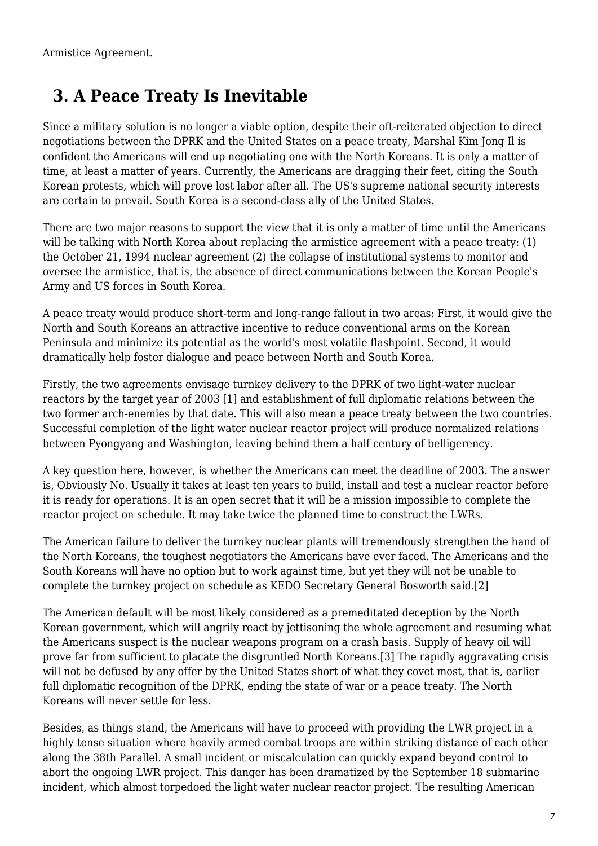<span id="page-6-0"></span>Armistice Agreement.

### **3. A Peace Treaty Is Inevitable**

Since a military solution is no longer a viable option, despite their oft-reiterated objection to direct negotiations between the DPRK and the United States on a peace treaty, Marshal Kim Jong Il is confident the Americans will end up negotiating one with the North Koreans. It is only a matter of time, at least a matter of years. Currently, the Americans are dragging their feet, citing the South Korean protests, which will prove lost labor after all. The US's supreme national security interests are certain to prevail. South Korea is a second-class ally of the United States.

There are two major reasons to support the view that it is only a matter of time until the Americans will be talking with North Korea about replacing the armistice agreement with a peace treaty: (1) the October 21, 1994 nuclear agreement (2) the collapse of institutional systems to monitor and oversee the armistice, that is, the absence of direct communications between the Korean People's Army and US forces in South Korea.

A peace treaty would produce short-term and long-range fallout in two areas: First, it would give the North and South Koreans an attractive incentive to reduce conventional arms on the Korean Peninsula and minimize its potential as the world's most volatile flashpoint. Second, it would dramatically help foster dialogue and peace between North and South Korea.

Firstly, the two agreements envisage turnkey delivery to the DPRK of two light-water nuclear reactors by the target year of 2003 [1] and establishment of full diplomatic relations between the two former arch-enemies by that date. This will also mean a peace treaty between the two countries. Successful completion of the light water nuclear reactor project will produce normalized relations between Pyongyang and Washington, leaving behind them a half century of belligerency.

A key question here, however, is whether the Americans can meet the deadline of 2003. The answer is, Obviously No. Usually it takes at least ten years to build, install and test a nuclear reactor before it is ready for operations. It is an open secret that it will be a mission impossible to complete the reactor project on schedule. It may take twice the planned time to construct the LWRs.

The American failure to deliver the turnkey nuclear plants will tremendously strengthen the hand of the North Koreans, the toughest negotiators the Americans have ever faced. The Americans and the South Koreans will have no option but to work against time, but yet they will not be unable to complete the turnkey project on schedule as KEDO Secretary General Bosworth said.[2]

The American default will be most likely considered as a premeditated deception by the North Korean government, which will angrily react by jettisoning the whole agreement and resuming what the Americans suspect is the nuclear weapons program on a crash basis. Supply of heavy oil will prove far from sufficient to placate the disgruntled North Koreans.[3] The rapidly aggravating crisis will not be defused by any offer by the United States short of what they covet most, that is, earlier full diplomatic recognition of the DPRK, ending the state of war or a peace treaty. The North Koreans will never settle for less.

Besides, as things stand, the Americans will have to proceed with providing the LWR project in a highly tense situation where heavily armed combat troops are within striking distance of each other along the 38th Parallel. A small incident or miscalculation can quickly expand beyond control to abort the ongoing LWR project. This danger has been dramatized by the September 18 submarine incident, which almost torpedoed the light water nuclear reactor project. The resulting American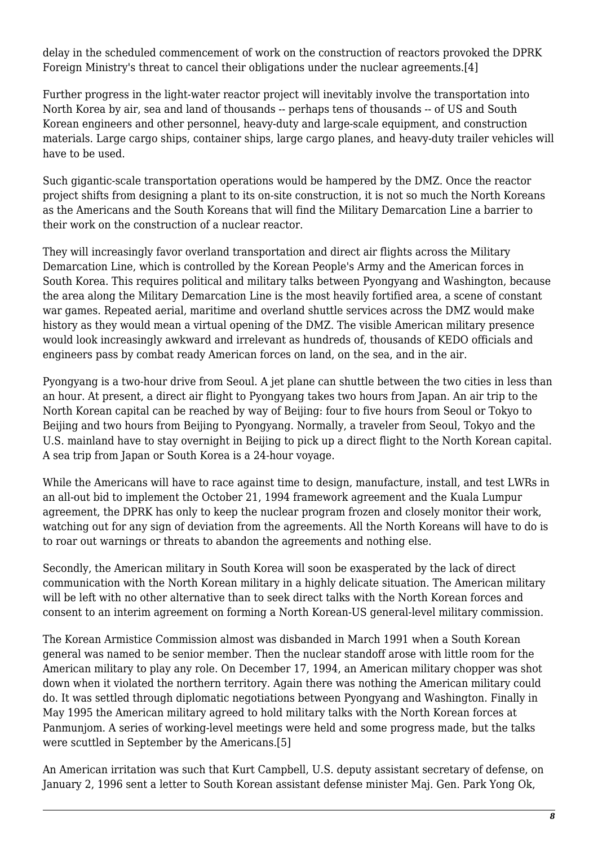delay in the scheduled commencement of work on the construction of reactors provoked the DPRK Foreign Ministry's threat to cancel their obligations under the nuclear agreements.[4]

Further progress in the light-water reactor project will inevitably involve the transportation into North Korea by air, sea and land of thousands -- perhaps tens of thousands -- of US and South Korean engineers and other personnel, heavy-duty and large-scale equipment, and construction materials. Large cargo ships, container ships, large cargo planes, and heavy-duty trailer vehicles will have to be used.

Such gigantic-scale transportation operations would be hampered by the DMZ. Once the reactor project shifts from designing a plant to its on-site construction, it is not so much the North Koreans as the Americans and the South Koreans that will find the Military Demarcation Line a barrier to their work on the construction of a nuclear reactor.

They will increasingly favor overland transportation and direct air flights across the Military Demarcation Line, which is controlled by the Korean People's Army and the American forces in South Korea. This requires political and military talks between Pyongyang and Washington, because the area along the Military Demarcation Line is the most heavily fortified area, a scene of constant war games. Repeated aerial, maritime and overland shuttle services across the DMZ would make history as they would mean a virtual opening of the DMZ. The visible American military presence would look increasingly awkward and irrelevant as hundreds of, thousands of KEDO officials and engineers pass by combat ready American forces on land, on the sea, and in the air.

Pyongyang is a two-hour drive from Seoul. A jet plane can shuttle between the two cities in less than an hour. At present, a direct air flight to Pyongyang takes two hours from Japan. An air trip to the North Korean capital can be reached by way of Beijing: four to five hours from Seoul or Tokyo to Beijing and two hours from Beijing to Pyongyang. Normally, a traveler from Seoul, Tokyo and the U.S. mainland have to stay overnight in Beijing to pick up a direct flight to the North Korean capital. A sea trip from Japan or South Korea is a 24-hour voyage.

While the Americans will have to race against time to design, manufacture, install, and test LWRs in an all-out bid to implement the October 21, 1994 framework agreement and the Kuala Lumpur agreement, the DPRK has only to keep the nuclear program frozen and closely monitor their work, watching out for any sign of deviation from the agreements. All the North Koreans will have to do is to roar out warnings or threats to abandon the agreements and nothing else.

Secondly, the American military in South Korea will soon be exasperated by the lack of direct communication with the North Korean military in a highly delicate situation. The American military will be left with no other alternative than to seek direct talks with the North Korean forces and consent to an interim agreement on forming a North Korean-US general-level military commission.

The Korean Armistice Commission almost was disbanded in March 1991 when a South Korean general was named to be senior member. Then the nuclear standoff arose with little room for the American military to play any role. On December 17, 1994, an American military chopper was shot down when it violated the northern territory. Again there was nothing the American military could do. It was settled through diplomatic negotiations between Pyongyang and Washington. Finally in May 1995 the American military agreed to hold military talks with the North Korean forces at Panmunjom. A series of working-level meetings were held and some progress made, but the talks were scuttled in September by the Americans.[5]

An American irritation was such that Kurt Campbell, U.S. deputy assistant secretary of defense, on January 2, 1996 sent a letter to South Korean assistant defense minister Maj. Gen. Park Yong Ok,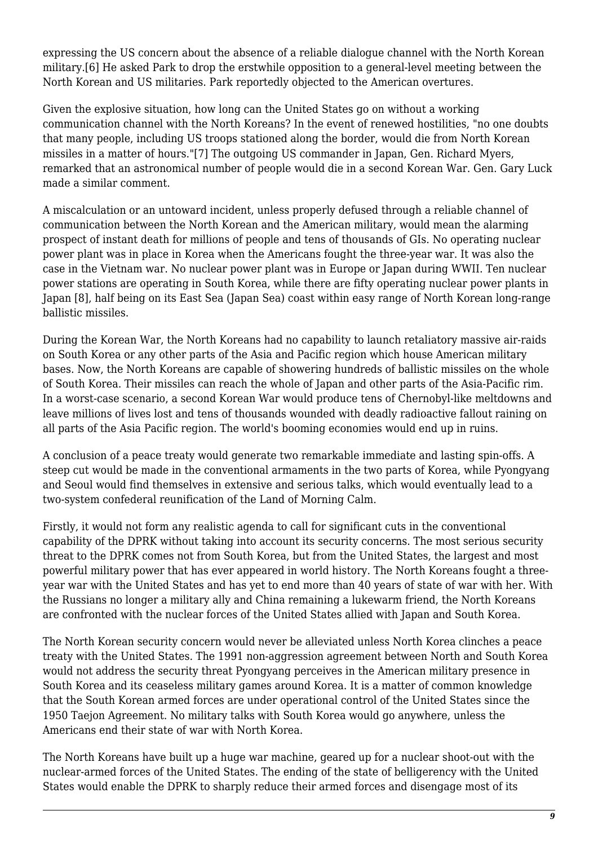expressing the US concern about the absence of a reliable dialogue channel with the North Korean military.[6] He asked Park to drop the erstwhile opposition to a general-level meeting between the North Korean and US militaries. Park reportedly objected to the American overtures.

Given the explosive situation, how long can the United States go on without a working communication channel with the North Koreans? In the event of renewed hostilities, "no one doubts that many people, including US troops stationed along the border, would die from North Korean missiles in a matter of hours."[7] The outgoing US commander in Japan, Gen. Richard Myers, remarked that an astronomical number of people would die in a second Korean War. Gen. Gary Luck made a similar comment.

A miscalculation or an untoward incident, unless properly defused through a reliable channel of communication between the North Korean and the American military, would mean the alarming prospect of instant death for millions of people and tens of thousands of GIs. No operating nuclear power plant was in place in Korea when the Americans fought the three-year war. It was also the case in the Vietnam war. No nuclear power plant was in Europe or Japan during WWII. Ten nuclear power stations are operating in South Korea, while there are fifty operating nuclear power plants in Japan [8], half being on its East Sea (Japan Sea) coast within easy range of North Korean long-range ballistic missiles.

During the Korean War, the North Koreans had no capability to launch retaliatory massive air-raids on South Korea or any other parts of the Asia and Pacific region which house American military bases. Now, the North Koreans are capable of showering hundreds of ballistic missiles on the whole of South Korea. Their missiles can reach the whole of Japan and other parts of the Asia-Pacific rim. In a worst-case scenario, a second Korean War would produce tens of Chernobyl-like meltdowns and leave millions of lives lost and tens of thousands wounded with deadly radioactive fallout raining on all parts of the Asia Pacific region. The world's booming economies would end up in ruins.

A conclusion of a peace treaty would generate two remarkable immediate and lasting spin-offs. A steep cut would be made in the conventional armaments in the two parts of Korea, while Pyongyang and Seoul would find themselves in extensive and serious talks, which would eventually lead to a two-system confederal reunification of the Land of Morning Calm.

Firstly, it would not form any realistic agenda to call for significant cuts in the conventional capability of the DPRK without taking into account its security concerns. The most serious security threat to the DPRK comes not from South Korea, but from the United States, the largest and most powerful military power that has ever appeared in world history. The North Koreans fought a threeyear war with the United States and has yet to end more than 40 years of state of war with her. With the Russians no longer a military ally and China remaining a lukewarm friend, the North Koreans are confronted with the nuclear forces of the United States allied with Japan and South Korea.

The North Korean security concern would never be alleviated unless North Korea clinches a peace treaty with the United States. The 1991 non-aggression agreement between North and South Korea would not address the security threat Pyongyang perceives in the American military presence in South Korea and its ceaseless military games around Korea. It is a matter of common knowledge that the South Korean armed forces are under operational control of the United States since the 1950 Taejon Agreement. No military talks with South Korea would go anywhere, unless the Americans end their state of war with North Korea.

The North Koreans have built up a huge war machine, geared up for a nuclear shoot-out with the nuclear-armed forces of the United States. The ending of the state of belligerency with the United States would enable the DPRK to sharply reduce their armed forces and disengage most of its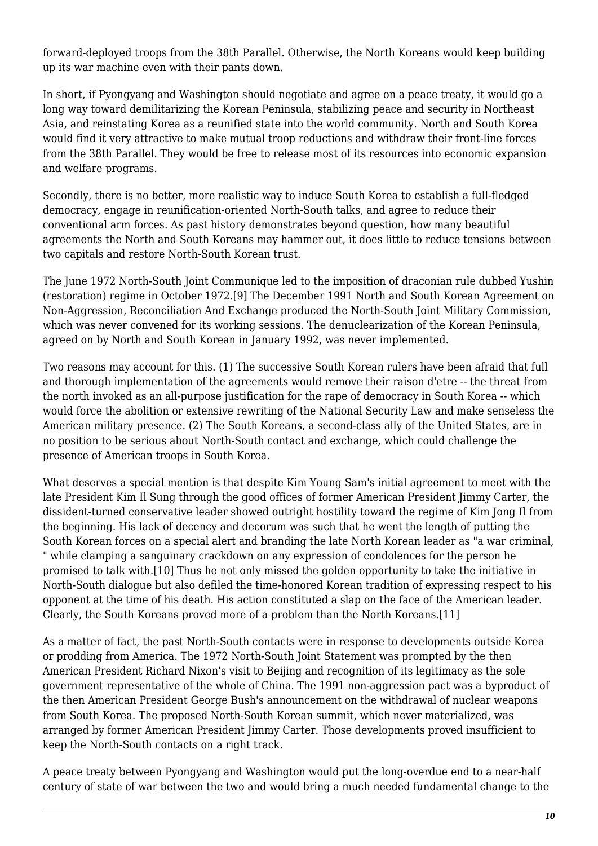forward-deployed troops from the 38th Parallel. Otherwise, the North Koreans would keep building up its war machine even with their pants down.

In short, if Pyongyang and Washington should negotiate and agree on a peace treaty, it would go a long way toward demilitarizing the Korean Peninsula, stabilizing peace and security in Northeast Asia, and reinstating Korea as a reunified state into the world community. North and South Korea would find it very attractive to make mutual troop reductions and withdraw their front-line forces from the 38th Parallel. They would be free to release most of its resources into economic expansion and welfare programs.

Secondly, there is no better, more realistic way to induce South Korea to establish a full-fledged democracy, engage in reunification-oriented North-South talks, and agree to reduce their conventional arm forces. As past history demonstrates beyond question, how many beautiful agreements the North and South Koreans may hammer out, it does little to reduce tensions between two capitals and restore North-South Korean trust.

The June 1972 North-South Joint Communique led to the imposition of draconian rule dubbed Yushin (restoration) regime in October 1972.[9] The December 1991 North and South Korean Agreement on Non-Aggression, Reconciliation And Exchange produced the North-South Joint Military Commission, which was never convened for its working sessions. The denuclearization of the Korean Peninsula, agreed on by North and South Korean in January 1992, was never implemented.

Two reasons may account for this. (1) The successive South Korean rulers have been afraid that full and thorough implementation of the agreements would remove their raison d'etre -- the threat from the north invoked as an all-purpose justification for the rape of democracy in South Korea -- which would force the abolition or extensive rewriting of the National Security Law and make senseless the American military presence. (2) The South Koreans, a second-class ally of the United States, are in no position to be serious about North-South contact and exchange, which could challenge the presence of American troops in South Korea.

What deserves a special mention is that despite Kim Young Sam's initial agreement to meet with the late President Kim Il Sung through the good offices of former American President Jimmy Carter, the dissident-turned conservative leader showed outright hostility toward the regime of Kim Jong Il from the beginning. His lack of decency and decorum was such that he went the length of putting the South Korean forces on a special alert and branding the late North Korean leader as "a war criminal, " while clamping a sanguinary crackdown on any expression of condolences for the person he promised to talk with.[10] Thus he not only missed the golden opportunity to take the initiative in North-South dialogue but also defiled the time-honored Korean tradition of expressing respect to his opponent at the time of his death. His action constituted a slap on the face of the American leader. Clearly, the South Koreans proved more of a problem than the North Koreans.[11]

As a matter of fact, the past North-South contacts were in response to developments outside Korea or prodding from America. The 1972 North-South Joint Statement was prompted by the then American President Richard Nixon's visit to Beijing and recognition of its legitimacy as the sole government representative of the whole of China. The 1991 non-aggression pact was a byproduct of the then American President George Bush's announcement on the withdrawal of nuclear weapons from South Korea. The proposed North-South Korean summit, which never materialized, was arranged by former American President Jimmy Carter. Those developments proved insufficient to keep the North-South contacts on a right track.

A peace treaty between Pyongyang and Washington would put the long-overdue end to a near-half century of state of war between the two and would bring a much needed fundamental change to the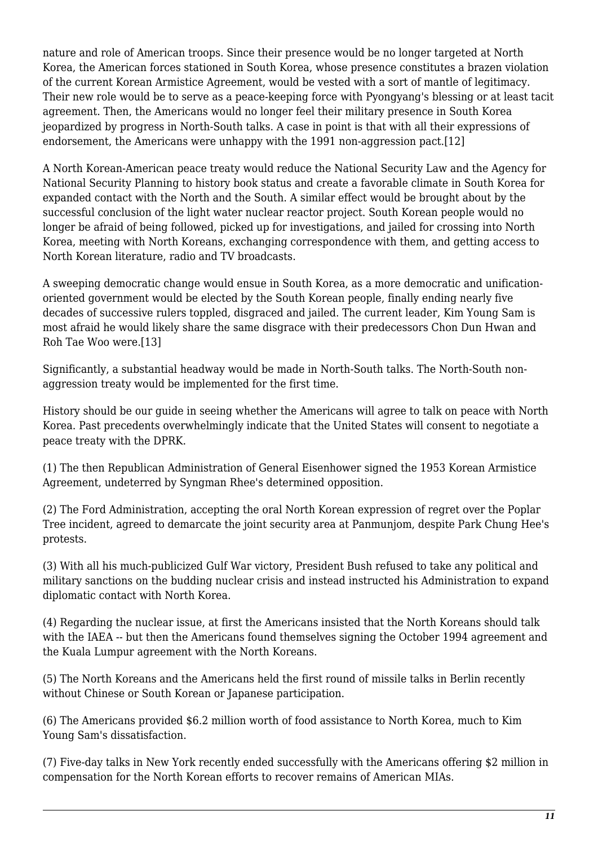nature and role of American troops. Since their presence would be no longer targeted at North Korea, the American forces stationed in South Korea, whose presence constitutes a brazen violation of the current Korean Armistice Agreement, would be vested with a sort of mantle of legitimacy. Their new role would be to serve as a peace-keeping force with Pyongyang's blessing or at least tacit agreement. Then, the Americans would no longer feel their military presence in South Korea jeopardized by progress in North-South talks. A case in point is that with all their expressions of endorsement, the Americans were unhappy with the 1991 non-aggression pact.[12]

A North Korean-American peace treaty would reduce the National Security Law and the Agency for National Security Planning to history book status and create a favorable climate in South Korea for expanded contact with the North and the South. A similar effect would be brought about by the successful conclusion of the light water nuclear reactor project. South Korean people would no longer be afraid of being followed, picked up for investigations, and jailed for crossing into North Korea, meeting with North Koreans, exchanging correspondence with them, and getting access to North Korean literature, radio and TV broadcasts.

A sweeping democratic change would ensue in South Korea, as a more democratic and unificationoriented government would be elected by the South Korean people, finally ending nearly five decades of successive rulers toppled, disgraced and jailed. The current leader, Kim Young Sam is most afraid he would likely share the same disgrace with their predecessors Chon Dun Hwan and Roh Tae Woo were.[13]

Significantly, a substantial headway would be made in North-South talks. The North-South nonaggression treaty would be implemented for the first time.

History should be our guide in seeing whether the Americans will agree to talk on peace with North Korea. Past precedents overwhelmingly indicate that the United States will consent to negotiate a peace treaty with the DPRK.

(1) The then Republican Administration of General Eisenhower signed the 1953 Korean Armistice Agreement, undeterred by Syngman Rhee's determined opposition.

(2) The Ford Administration, accepting the oral North Korean expression of regret over the Poplar Tree incident, agreed to demarcate the joint security area at Panmunjom, despite Park Chung Hee's protests.

(3) With all his much-publicized Gulf War victory, President Bush refused to take any political and military sanctions on the budding nuclear crisis and instead instructed his Administration to expand diplomatic contact with North Korea.

(4) Regarding the nuclear issue, at first the Americans insisted that the North Koreans should talk with the IAEA -- but then the Americans found themselves signing the October 1994 agreement and the Kuala Lumpur agreement with the North Koreans.

(5) The North Koreans and the Americans held the first round of missile talks in Berlin recently without Chinese or South Korean or Japanese participation.

(6) The Americans provided \$6.2 million worth of food assistance to North Korea, much to Kim Young Sam's dissatisfaction.

(7) Five-day talks in New York recently ended successfully with the Americans offering \$2 million in compensation for the North Korean efforts to recover remains of American MIAs.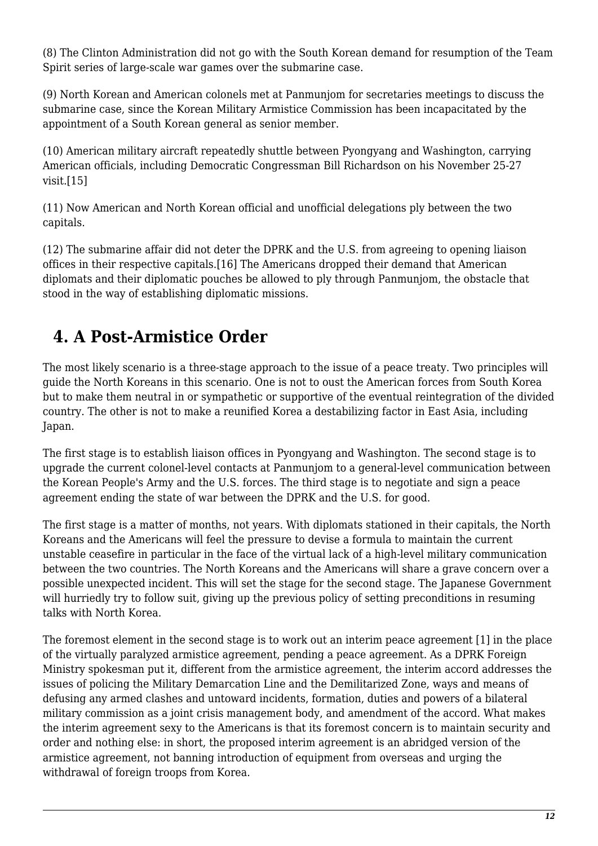(8) The Clinton Administration did not go with the South Korean demand for resumption of the Team Spirit series of large-scale war games over the submarine case.

(9) North Korean and American colonels met at Panmunjom for secretaries meetings to discuss the submarine case, since the Korean Military Armistice Commission has been incapacitated by the appointment of a South Korean general as senior member.

(10) American military aircraft repeatedly shuttle between Pyongyang and Washington, carrying American officials, including Democratic Congressman Bill Richardson on his November 25-27 visit.[15]

(11) Now American and North Korean official and unofficial delegations ply between the two capitals.

(12) The submarine affair did not deter the DPRK and the U.S. from agreeing to opening liaison offices in their respective capitals.[16] The Americans dropped their demand that American diplomats and their diplomatic pouches be allowed to ply through Panmunjom, the obstacle that stood in the way of establishing diplomatic missions.

# <span id="page-11-0"></span> **4. A Post-Armistice Order**

The most likely scenario is a three-stage approach to the issue of a peace treaty. Two principles will guide the North Koreans in this scenario. One is not to oust the American forces from South Korea but to make them neutral in or sympathetic or supportive of the eventual reintegration of the divided country. The other is not to make a reunified Korea a destabilizing factor in East Asia, including Japan.

The first stage is to establish liaison offices in Pyongyang and Washington. The second stage is to upgrade the current colonel-level contacts at Panmunjom to a general-level communication between the Korean People's Army and the U.S. forces. The third stage is to negotiate and sign a peace agreement ending the state of war between the DPRK and the U.S. for good.

The first stage is a matter of months, not years. With diplomats stationed in their capitals, the North Koreans and the Americans will feel the pressure to devise a formula to maintain the current unstable ceasefire in particular in the face of the virtual lack of a high-level military communication between the two countries. The North Koreans and the Americans will share a grave concern over a possible unexpected incident. This will set the stage for the second stage. The Japanese Government will hurriedly try to follow suit, giving up the previous policy of setting preconditions in resuming talks with North Korea.

The foremost element in the second stage is to work out an interim peace agreement [1] in the place of the virtually paralyzed armistice agreement, pending a peace agreement. As a DPRK Foreign Ministry spokesman put it, different from the armistice agreement, the interim accord addresses the issues of policing the Military Demarcation Line and the Demilitarized Zone, ways and means of defusing any armed clashes and untoward incidents, formation, duties and powers of a bilateral military commission as a joint crisis management body, and amendment of the accord. What makes the interim agreement sexy to the Americans is that its foremost concern is to maintain security and order and nothing else: in short, the proposed interim agreement is an abridged version of the armistice agreement, not banning introduction of equipment from overseas and urging the withdrawal of foreign troops from Korea.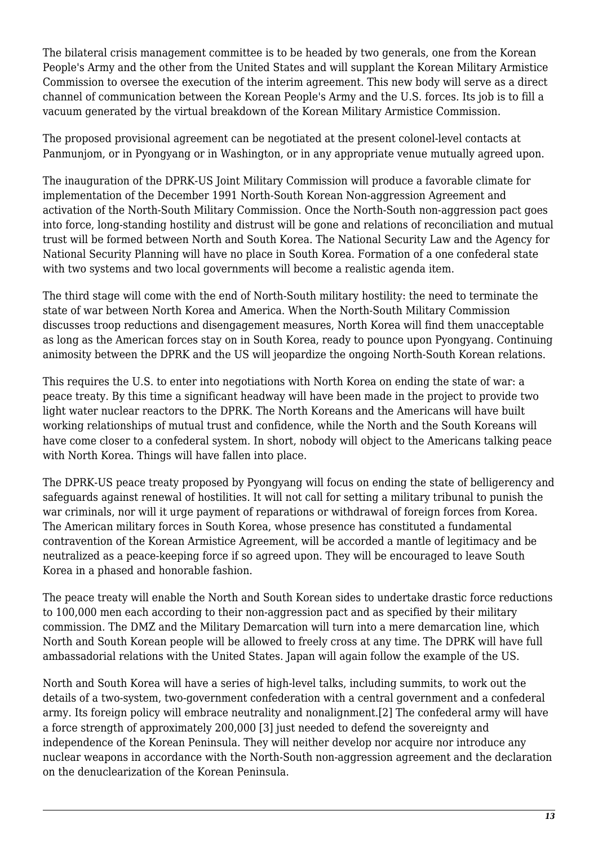The bilateral crisis management committee is to be headed by two generals, one from the Korean People's Army and the other from the United States and will supplant the Korean Military Armistice Commission to oversee the execution of the interim agreement. This new body will serve as a direct channel of communication between the Korean People's Army and the U.S. forces. Its job is to fill a vacuum generated by the virtual breakdown of the Korean Military Armistice Commission.

The proposed provisional agreement can be negotiated at the present colonel-level contacts at Panmunjom, or in Pyongyang or in Washington, or in any appropriate venue mutually agreed upon.

The inauguration of the DPRK-US Joint Military Commission will produce a favorable climate for implementation of the December 1991 North-South Korean Non-aggression Agreement and activation of the North-South Military Commission. Once the North-South non-aggression pact goes into force, long-standing hostility and distrust will be gone and relations of reconciliation and mutual trust will be formed between North and South Korea. The National Security Law and the Agency for National Security Planning will have no place in South Korea. Formation of a one confederal state with two systems and two local governments will become a realistic agenda item.

The third stage will come with the end of North-South military hostility: the need to terminate the state of war between North Korea and America. When the North-South Military Commission discusses troop reductions and disengagement measures, North Korea will find them unacceptable as long as the American forces stay on in South Korea, ready to pounce upon Pyongyang. Continuing animosity between the DPRK and the US will jeopardize the ongoing North-South Korean relations.

This requires the U.S. to enter into negotiations with North Korea on ending the state of war: a peace treaty. By this time a significant headway will have been made in the project to provide two light water nuclear reactors to the DPRK. The North Koreans and the Americans will have built working relationships of mutual trust and confidence, while the North and the South Koreans will have come closer to a confederal system. In short, nobody will object to the Americans talking peace with North Korea. Things will have fallen into place.

The DPRK-US peace treaty proposed by Pyongyang will focus on ending the state of belligerency and safeguards against renewal of hostilities. It will not call for setting a military tribunal to punish the war criminals, nor will it urge payment of reparations or withdrawal of foreign forces from Korea. The American military forces in South Korea, whose presence has constituted a fundamental contravention of the Korean Armistice Agreement, will be accorded a mantle of legitimacy and be neutralized as a peace-keeping force if so agreed upon. They will be encouraged to leave South Korea in a phased and honorable fashion.

The peace treaty will enable the North and South Korean sides to undertake drastic force reductions to 100,000 men each according to their non-aggression pact and as specified by their military commission. The DMZ and the Military Demarcation will turn into a mere demarcation line, which North and South Korean people will be allowed to freely cross at any time. The DPRK will have full ambassadorial relations with the United States. Japan will again follow the example of the US.

North and South Korea will have a series of high-level talks, including summits, to work out the details of a two-system, two-government confederation with a central government and a confederal army. Its foreign policy will embrace neutrality and nonalignment.[2] The confederal army will have a force strength of approximately 200,000 [3] just needed to defend the sovereignty and independence of the Korean Peninsula. They will neither develop nor acquire nor introduce any nuclear weapons in accordance with the North-South non-aggression agreement and the declaration on the denuclearization of the Korean Peninsula.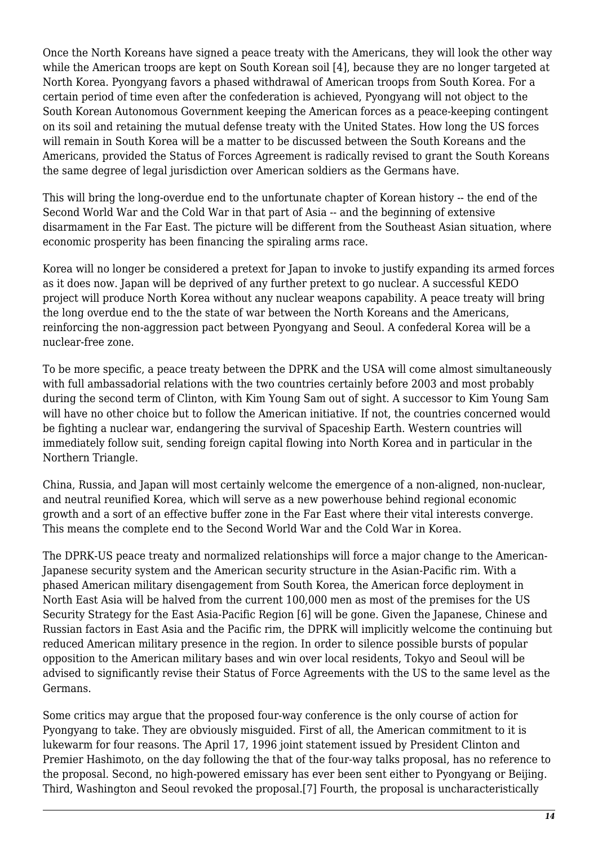Once the North Koreans have signed a peace treaty with the Americans, they will look the other way while the American troops are kept on South Korean soil [4], because they are no longer targeted at North Korea. Pyongyang favors a phased withdrawal of American troops from South Korea. For a certain period of time even after the confederation is achieved, Pyongyang will not object to the South Korean Autonomous Government keeping the American forces as a peace-keeping contingent on its soil and retaining the mutual defense treaty with the United States. How long the US forces will remain in South Korea will be a matter to be discussed between the South Koreans and the Americans, provided the Status of Forces Agreement is radically revised to grant the South Koreans the same degree of legal jurisdiction over American soldiers as the Germans have.

This will bring the long-overdue end to the unfortunate chapter of Korean history -- the end of the Second World War and the Cold War in that part of Asia -- and the beginning of extensive disarmament in the Far East. The picture will be different from the Southeast Asian situation, where economic prosperity has been financing the spiraling arms race.

Korea will no longer be considered a pretext for Japan to invoke to justify expanding its armed forces as it does now. Japan will be deprived of any further pretext to go nuclear. A successful KEDO project will produce North Korea without any nuclear weapons capability. A peace treaty will bring the long overdue end to the the state of war between the North Koreans and the Americans, reinforcing the non-aggression pact between Pyongyang and Seoul. A confederal Korea will be a nuclear-free zone.

To be more specific, a peace treaty between the DPRK and the USA will come almost simultaneously with full ambassadorial relations with the two countries certainly before 2003 and most probably during the second term of Clinton, with Kim Young Sam out of sight. A successor to Kim Young Sam will have no other choice but to follow the American initiative. If not, the countries concerned would be fighting a nuclear war, endangering the survival of Spaceship Earth. Western countries will immediately follow suit, sending foreign capital flowing into North Korea and in particular in the Northern Triangle.

China, Russia, and Japan will most certainly welcome the emergence of a non-aligned, non-nuclear, and neutral reunified Korea, which will serve as a new powerhouse behind regional economic growth and a sort of an effective buffer zone in the Far East where their vital interests converge. This means the complete end to the Second World War and the Cold War in Korea.

The DPRK-US peace treaty and normalized relationships will force a major change to the American-Japanese security system and the American security structure in the Asian-Pacific rim. With a phased American military disengagement from South Korea, the American force deployment in North East Asia will be halved from the current 100,000 men as most of the premises for the US Security Strategy for the East Asia-Pacific Region [6] will be gone. Given the Japanese, Chinese and Russian factors in East Asia and the Pacific rim, the DPRK will implicitly welcome the continuing but reduced American military presence in the region. In order to silence possible bursts of popular opposition to the American military bases and win over local residents, Tokyo and Seoul will be advised to significantly revise their Status of Force Agreements with the US to the same level as the Germans.

Some critics may argue that the proposed four-way conference is the only course of action for Pyongyang to take. They are obviously misguided. First of all, the American commitment to it is lukewarm for four reasons. The April 17, 1996 joint statement issued by President Clinton and Premier Hashimoto, on the day following the that of the four-way talks proposal, has no reference to the proposal. Second, no high-powered emissary has ever been sent either to Pyongyang or Beijing. Third, Washington and Seoul revoked the proposal.[7] Fourth, the proposal is uncharacteristically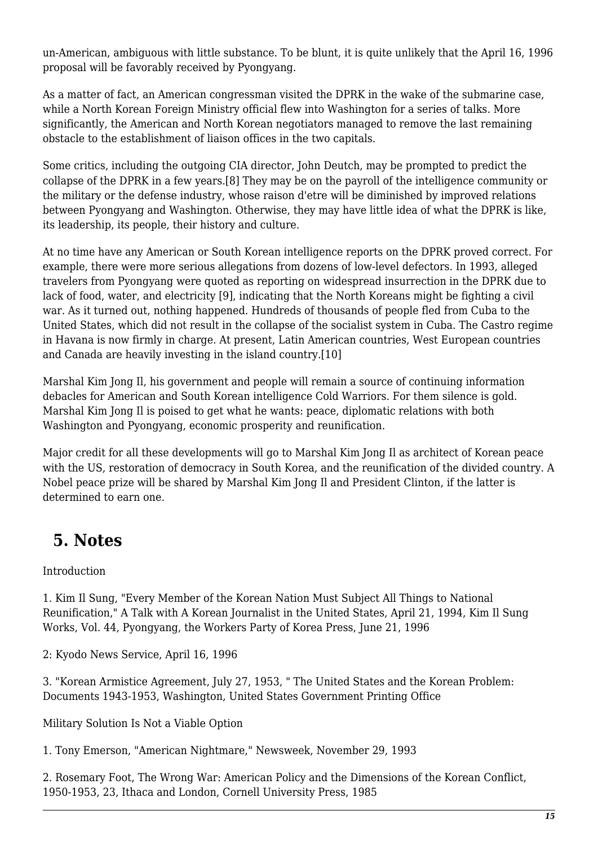un-American, ambiguous with little substance. To be blunt, it is quite unlikely that the April 16, 1996 proposal will be favorably received by Pyongyang.

As a matter of fact, an American congressman visited the DPRK in the wake of the submarine case, while a North Korean Foreign Ministry official flew into Washington for a series of talks. More significantly, the American and North Korean negotiators managed to remove the last remaining obstacle to the establishment of liaison offices in the two capitals.

Some critics, including the outgoing CIA director, John Deutch, may be prompted to predict the collapse of the DPRK in a few years.[8] They may be on the payroll of the intelligence community or the military or the defense industry, whose raison d'etre will be diminished by improved relations between Pyongyang and Washington. Otherwise, they may have little idea of what the DPRK is like, its leadership, its people, their history and culture.

At no time have any American or South Korean intelligence reports on the DPRK proved correct. For example, there were more serious allegations from dozens of low-level defectors. In 1993, alleged travelers from Pyongyang were quoted as reporting on widespread insurrection in the DPRK due to lack of food, water, and electricity [9], indicating that the North Koreans might be fighting a civil war. As it turned out, nothing happened. Hundreds of thousands of people fled from Cuba to the United States, which did not result in the collapse of the socialist system in Cuba. The Castro regime in Havana is now firmly in charge. At present, Latin American countries, West European countries and Canada are heavily investing in the island country.[10]

Marshal Kim Jong Il, his government and people will remain a source of continuing information debacles for American and South Korean intelligence Cold Warriors. For them silence is gold. Marshal Kim Jong Il is poised to get what he wants: peace, diplomatic relations with both Washington and Pyongyang, economic prosperity and reunification.

Major credit for all these developments will go to Marshal Kim Jong Il as architect of Korean peace with the US, restoration of democracy in South Korea, and the reunification of the divided country. A Nobel peace prize will be shared by Marshal Kim Jong Il and President Clinton, if the latter is determined to earn one.

## <span id="page-14-0"></span> **5. Notes**

Introduction

1. Kim Il Sung, "Every Member of the Korean Nation Must Subject All Things to National Reunification," A Talk with A Korean Journalist in the United States, April 21, 1994, Kim Il Sung Works, Vol. 44, Pyongyang, the Workers Party of Korea Press, June 21, 1996

2: Kyodo News Service, April 16, 1996

3. "Korean Armistice Agreement, July 27, 1953, " The United States and the Korean Problem: Documents 1943-1953, Washington, United States Government Printing Office

Military Solution Is Not a Viable Option

1. Tony Emerson, "American Nightmare," Newsweek, November 29, 1993

2. Rosemary Foot, The Wrong War: American Policy and the Dimensions of the Korean Conflict, 1950-1953, 23, Ithaca and London, Cornell University Press, 1985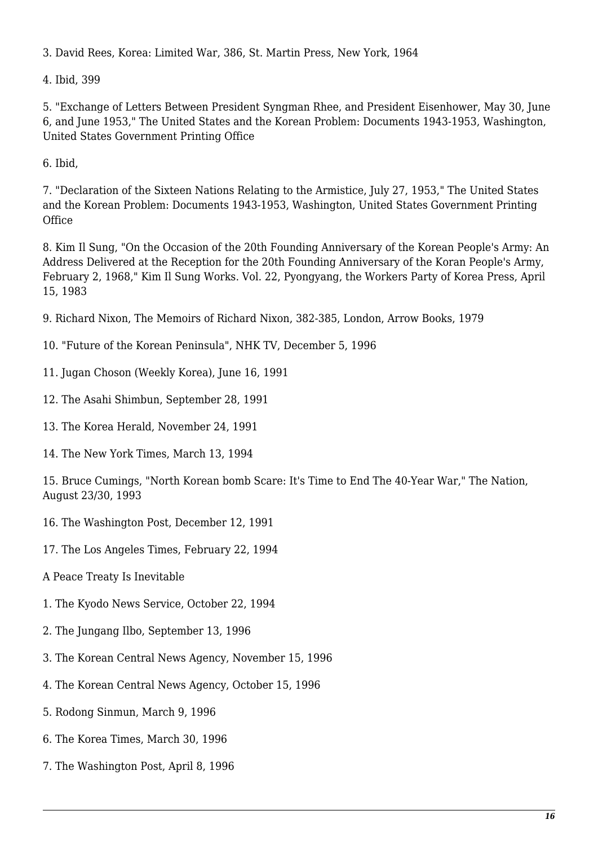3. David Rees, Korea: Limited War, 386, St. Martin Press, New York, 1964

4. Ibid, 399

5. "Exchange of Letters Between President Syngman Rhee, and President Eisenhower, May 30, June 6, and June 1953," The United States and the Korean Problem: Documents 1943-1953, Washington, United States Government Printing Office

6. Ibid,

7. "Declaration of the Sixteen Nations Relating to the Armistice, July 27, 1953," The United States and the Korean Problem: Documents 1943-1953, Washington, United States Government Printing **Office** 

8. Kim Il Sung, "On the Occasion of the 20th Founding Anniversary of the Korean People's Army: An Address Delivered at the Reception for the 20th Founding Anniversary of the Koran People's Army, February 2, 1968," Kim Il Sung Works. Vol. 22, Pyongyang, the Workers Party of Korea Press, April 15, 1983

9. Richard Nixon, The Memoirs of Richard Nixon, 382-385, London, Arrow Books, 1979

- 10. "Future of the Korean Peninsula", NHK TV, December 5, 1996
- 11. Jugan Choson (Weekly Korea), June 16, 1991
- 12. The Asahi Shimbun, September 28, 1991
- 13. The Korea Herald, November 24, 1991
- 14. The New York Times, March 13, 1994

15. Bruce Cumings, "North Korean bomb Scare: It's Time to End The 40-Year War," The Nation, August 23/30, 1993

- 16. The Washington Post, December 12, 1991
- 17. The Los Angeles Times, February 22, 1994
- A Peace Treaty Is Inevitable
- 1. The Kyodo News Service, October 22, 1994
- 2. The Jungang Ilbo, September 13, 1996
- 3. The Korean Central News Agency, November 15, 1996
- 4. The Korean Central News Agency, October 15, 1996
- 5. Rodong Sinmun, March 9, 1996
- 6. The Korea Times, March 30, 1996
- 7. The Washington Post, April 8, 1996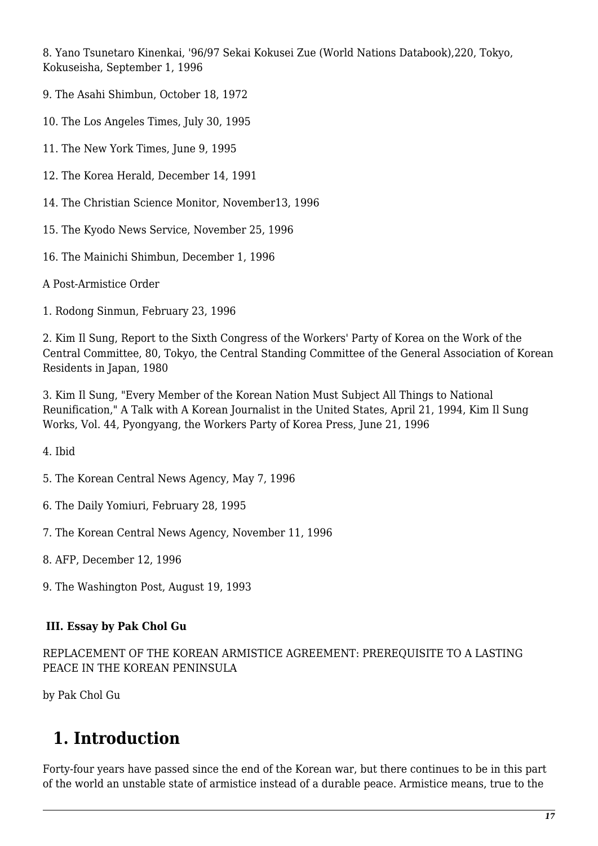8. Yano Tsunetaro Kinenkai, '96/97 Sekai Kokusei Zue (World Nations Databook),220, Tokyo, Kokuseisha, September 1, 1996

9. The Asahi Shimbun, October 18, 1972

10. The Los Angeles Times, July 30, 1995

11. The New York Times, June 9, 1995

12. The Korea Herald, December 14, 1991

14. The Christian Science Monitor, November13, 1996

15. The Kyodo News Service, November 25, 1996

16. The Mainichi Shimbun, December 1, 1996

A Post-Armistice Order

1. Rodong Sinmun, February 23, 1996

2. Kim Il Sung, Report to the Sixth Congress of the Workers' Party of Korea on the Work of the Central Committee, 80, Tokyo, the Central Standing Committee of the General Association of Korean Residents in Japan, 1980

3. Kim Il Sung, "Every Member of the Korean Nation Must Subject All Things to National Reunification," A Talk with A Korean Journalist in the United States, April 21, 1994, Kim Il Sung Works, Vol. 44, Pyongyang, the Workers Party of Korea Press, June 21, 1996

4. Ibid

5. The Korean Central News Agency, May 7, 1996

6. The Daily Yomiuri, February 28, 1995

7. The Korean Central News Agency, November 11, 1996

8. AFP, December 12, 1996

9. The Washington Post, August 19, 1993

#### <span id="page-16-0"></span> **III. Essay by Pak Chol Gu**

REPLACEMENT OF THE KOREAN ARMISTICE AGREEMENT: PREREQUISITE TO A LASTING PEACE IN THE KOREAN PENINSULA

<span id="page-16-1"></span>by Pak Chol Gu

#### **1. Introduction**

Forty-four years have passed since the end of the Korean war, but there continues to be in this part of the world an unstable state of armistice instead of a durable peace. Armistice means, true to the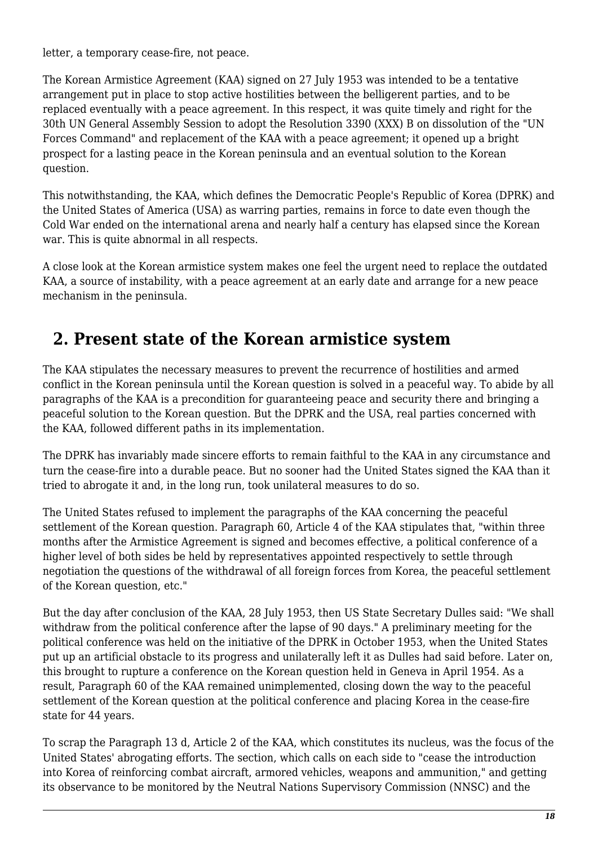letter, a temporary cease-fire, not peace.

The Korean Armistice Agreement (KAA) signed on 27 July 1953 was intended to be a tentative arrangement put in place to stop active hostilities between the belligerent parties, and to be replaced eventually with a peace agreement. In this respect, it was quite timely and right for the 30th UN General Assembly Session to adopt the Resolution 3390 (XXX) B on dissolution of the "UN Forces Command" and replacement of the KAA with a peace agreement; it opened up a bright prospect for a lasting peace in the Korean peninsula and an eventual solution to the Korean question.

This notwithstanding, the KAA, which defines the Democratic People's Republic of Korea (DPRK) and the United States of America (USA) as warring parties, remains in force to date even though the Cold War ended on the international arena and nearly half a century has elapsed since the Korean war. This is quite abnormal in all respects.

A close look at the Korean armistice system makes one feel the urgent need to replace the outdated KAA, a source of instability, with a peace agreement at an early date and arrange for a new peace mechanism in the peninsula.

#### <span id="page-17-0"></span> **2. Present state of the Korean armistice system**

The KAA stipulates the necessary measures to prevent the recurrence of hostilities and armed conflict in the Korean peninsula until the Korean question is solved in a peaceful way. To abide by all paragraphs of the KAA is a precondition for guaranteeing peace and security there and bringing a peaceful solution to the Korean question. But the DPRK and the USA, real parties concerned with the KAA, followed different paths in its implementation.

The DPRK has invariably made sincere efforts to remain faithful to the KAA in any circumstance and turn the cease-fire into a durable peace. But no sooner had the United States signed the KAA than it tried to abrogate it and, in the long run, took unilateral measures to do so.

The United States refused to implement the paragraphs of the KAA concerning the peaceful settlement of the Korean question. Paragraph 60, Article 4 of the KAA stipulates that, "within three months after the Armistice Agreement is signed and becomes effective, a political conference of a higher level of both sides be held by representatives appointed respectively to settle through negotiation the questions of the withdrawal of all foreign forces from Korea, the peaceful settlement of the Korean question, etc."

But the day after conclusion of the KAA, 28 July 1953, then US State Secretary Dulles said: "We shall withdraw from the political conference after the lapse of 90 days." A preliminary meeting for the political conference was held on the initiative of the DPRK in October 1953, when the United States put up an artificial obstacle to its progress and unilaterally left it as Dulles had said before. Later on, this brought to rupture a conference on the Korean question held in Geneva in April 1954. As a result, Paragraph 60 of the KAA remained unimplemented, closing down the way to the peaceful settlement of the Korean question at the political conference and placing Korea in the cease-fire state for 44 years.

To scrap the Paragraph 13 d, Article 2 of the KAA, which constitutes its nucleus, was the focus of the United States' abrogating efforts. The section, which calls on each side to "cease the introduction into Korea of reinforcing combat aircraft, armored vehicles, weapons and ammunition," and getting its observance to be monitored by the Neutral Nations Supervisory Commission (NNSC) and the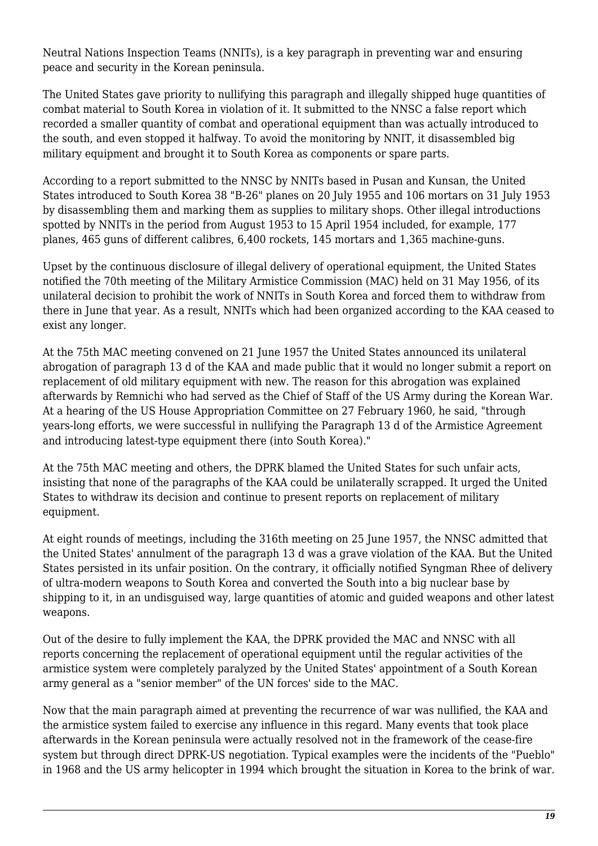Neutral Nations Inspection Teams (NNITs), is a key paragraph in preventing war and ensuring peace and security in the Korean peninsula.

The United States gave priority to nullifying this paragraph and illegally shipped huge quantities of combat material to South Korea in violation of it. It submitted to the NNSC a false report which recorded a smaller quantity of combat and operational equipment than was actually introduced to the south, and even stopped it halfway. To avoid the monitoring by NNIT, it disassembled big military equipment and brought it to South Korea as components or spare parts.

According to a report submitted to the NNSC by NNITs based in Pusan and Kunsan, the United States introduced to South Korea 38 "B-26" planes on 20 July 1955 and 106 mortars on 31 July 1953 by disassembling them and marking them as supplies to military shops. Other illegal introductions spotted by NNITs in the period from August 1953 to 15 April 1954 included, for example, 177 planes, 465 guns of different calibres, 6,400 rockets, 145 mortars and 1,365 machine-guns.

Upset by the continuous disclosure of illegal delivery of operational equipment, the United States notified the 70th meeting of the Military Armistice Commission (MAC) held on 31 May 1956, of its unilateral decision to prohibit the work of NNITs in South Korea and forced them to withdraw from there in June that year. As a result, NNITs which had been organized according to the KAA ceased to exist any longer.

At the 75th MAC meeting convened on 21 June 1957 the United States announced its unilateral abrogation of paragraph 13 d of the KAA and made public that it would no longer submit a report on replacement of old military equipment with new. The reason for this abrogation was explained afterwards by Remnichi who had served as the Chief of Staff of the US Army during the Korean War. At a hearing of the US House Appropriation Committee on 27 February 1960, he said, "through years-long efforts, we were successful in nullifying the Paragraph 13 d of the Armistice Agreement and introducing latest-type equipment there (into South Korea)."

At the 75th MAC meeting and others, the DPRK blamed the United States for such unfair acts, insisting that none of the paragraphs of the KAA could be unilaterally scrapped. It urged the United States to withdraw its decision and continue to present reports on replacement of military equipment.

At eight rounds of meetings, including the 316th meeting on 25 June 1957, the NNSC admitted that the United States' annulment of the paragraph 13 d was a grave violation of the KAA. But the United States persisted in its unfair position. On the contrary, it officially notified Syngman Rhee of delivery of ultra-modern weapons to South Korea and converted the South into a big nuclear base by shipping to it, in an undisguised way, large quantities of atomic and guided weapons and other latest weapons.

Out of the desire to fully implement the KAA, the DPRK provided the MAC and NNSC with all reports concerning the replacement of operational equipment until the regular activities of the armistice system were completely paralyzed by the United States' appointment of a South Korean army general as a "senior member" of the UN forces' side to the MAC.

Now that the main paragraph aimed at preventing the recurrence of war was nullified, the KAA and the armistice system failed to exercise any influence in this regard. Many events that took place afterwards in the Korean peninsula were actually resolved not in the framework of the cease-fire system but through direct DPRK-US negotiation. Typical examples were the incidents of the "Pueblo" in 1968 and the US army helicopter in 1994 which brought the situation in Korea to the brink of war.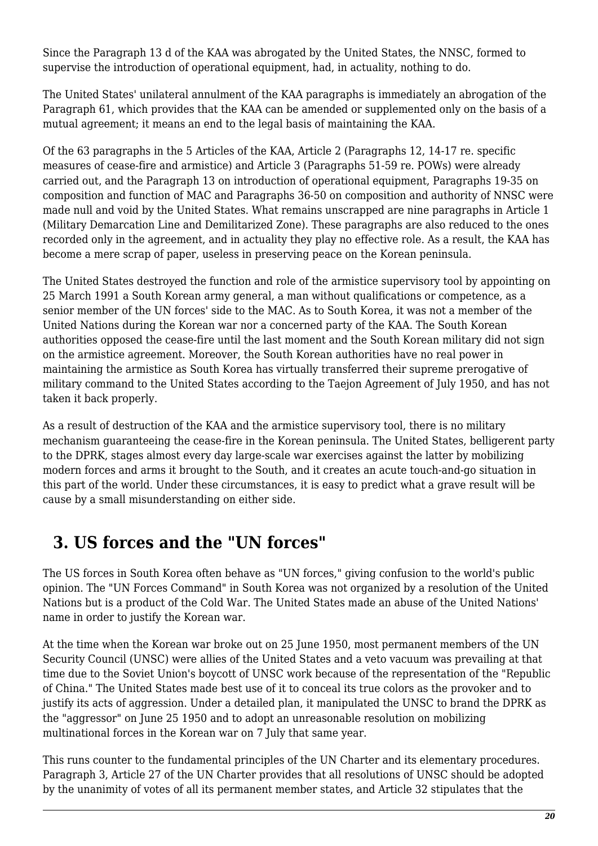Since the Paragraph 13 d of the KAA was abrogated by the United States, the NNSC, formed to supervise the introduction of operational equipment, had, in actuality, nothing to do.

The United States' unilateral annulment of the KAA paragraphs is immediately an abrogation of the Paragraph 61, which provides that the KAA can be amended or supplemented only on the basis of a mutual agreement; it means an end to the legal basis of maintaining the KAA.

Of the 63 paragraphs in the 5 Articles of the KAA, Article 2 (Paragraphs 12, 14-17 re. specific measures of cease-fire and armistice) and Article 3 (Paragraphs 51-59 re. POWs) were already carried out, and the Paragraph 13 on introduction of operational equipment, Paragraphs 19-35 on composition and function of MAC and Paragraphs 36-50 on composition and authority of NNSC were made null and void by the United States. What remains unscrapped are nine paragraphs in Article 1 (Military Demarcation Line and Demilitarized Zone). These paragraphs are also reduced to the ones recorded only in the agreement, and in actuality they play no effective role. As a result, the KAA has become a mere scrap of paper, useless in preserving peace on the Korean peninsula.

The United States destroyed the function and role of the armistice supervisory tool by appointing on 25 March 1991 a South Korean army general, a man without qualifications or competence, as a senior member of the UN forces' side to the MAC. As to South Korea, it was not a member of the United Nations during the Korean war nor a concerned party of the KAA. The South Korean authorities opposed the cease-fire until the last moment and the South Korean military did not sign on the armistice agreement. Moreover, the South Korean authorities have no real power in maintaining the armistice as South Korea has virtually transferred their supreme prerogative of military command to the United States according to the Taejon Agreement of July 1950, and has not taken it back properly.

As a result of destruction of the KAA and the armistice supervisory tool, there is no military mechanism guaranteeing the cease-fire in the Korean peninsula. The United States, belligerent party to the DPRK, stages almost every day large-scale war exercises against the latter by mobilizing modern forces and arms it brought to the South, and it creates an acute touch-and-go situation in this part of the world. Under these circumstances, it is easy to predict what a grave result will be cause by a small misunderstanding on either side.

#### <span id="page-19-0"></span> **3. US forces and the "UN forces"**

The US forces in South Korea often behave as "UN forces," giving confusion to the world's public opinion. The "UN Forces Command" in South Korea was not organized by a resolution of the United Nations but is a product of the Cold War. The United States made an abuse of the United Nations' name in order to justify the Korean war.

At the time when the Korean war broke out on 25 June 1950, most permanent members of the UN Security Council (UNSC) were allies of the United States and a veto vacuum was prevailing at that time due to the Soviet Union's boycott of UNSC work because of the representation of the "Republic of China." The United States made best use of it to conceal its true colors as the provoker and to justify its acts of aggression. Under a detailed plan, it manipulated the UNSC to brand the DPRK as the "aggressor" on June 25 1950 and to adopt an unreasonable resolution on mobilizing multinational forces in the Korean war on 7 July that same year.

This runs counter to the fundamental principles of the UN Charter and its elementary procedures. Paragraph 3, Article 27 of the UN Charter provides that all resolutions of UNSC should be adopted by the unanimity of votes of all its permanent member states, and Article 32 stipulates that the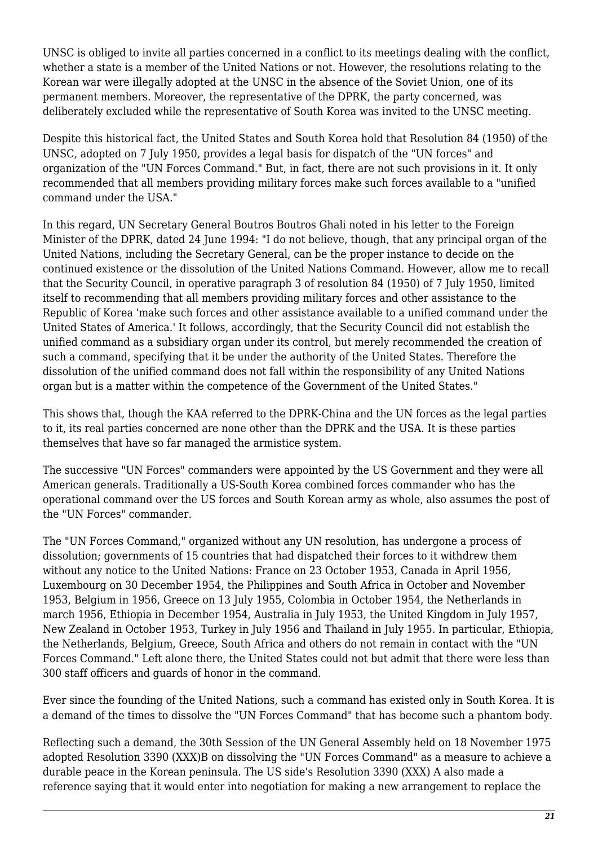UNSC is obliged to invite all parties concerned in a conflict to its meetings dealing with the conflict, whether a state is a member of the United Nations or not. However, the resolutions relating to the Korean war were illegally adopted at the UNSC in the absence of the Soviet Union, one of its permanent members. Moreover, the representative of the DPRK, the party concerned, was deliberately excluded while the representative of South Korea was invited to the UNSC meeting.

Despite this historical fact, the United States and South Korea hold that Resolution 84 (1950) of the UNSC, adopted on 7 July 1950, provides a legal basis for dispatch of the "UN forces" and organization of the "UN Forces Command." But, in fact, there are not such provisions in it. It only recommended that all members providing military forces make such forces available to a "unified command under the USA."

In this regard, UN Secretary General Boutros Boutros Ghali noted in his letter to the Foreign Minister of the DPRK, dated 24 June 1994: "I do not believe, though, that any principal organ of the United Nations, including the Secretary General, can be the proper instance to decide on the continued existence or the dissolution of the United Nations Command. However, allow me to recall that the Security Council, in operative paragraph 3 of resolution 84 (1950) of 7 July 1950, limited itself to recommending that all members providing military forces and other assistance to the Republic of Korea 'make such forces and other assistance available to a unified command under the United States of America.' It follows, accordingly, that the Security Council did not establish the unified command as a subsidiary organ under its control, but merely recommended the creation of such a command, specifying that it be under the authority of the United States. Therefore the dissolution of the unified command does not fall within the responsibility of any United Nations organ but is a matter within the competence of the Government of the United States."

This shows that, though the KAA referred to the DPRK-China and the UN forces as the legal parties to it, its real parties concerned are none other than the DPRK and the USA. It is these parties themselves that have so far managed the armistice system.

The successive "UN Forces" commanders were appointed by the US Government and they were all American generals. Traditionally a US-South Korea combined forces commander who has the operational command over the US forces and South Korean army as whole, also assumes the post of the "UN Forces" commander.

The "UN Forces Command," organized without any UN resolution, has undergone a process of dissolution; governments of 15 countries that had dispatched their forces to it withdrew them without any notice to the United Nations: France on 23 October 1953, Canada in April 1956, Luxembourg on 30 December 1954, the Philippines and South Africa in October and November 1953, Belgium in 1956, Greece on 13 July 1955, Colombia in October 1954, the Netherlands in march 1956, Ethiopia in December 1954, Australia in July 1953, the United Kingdom in July 1957, New Zealand in October 1953, Turkey in July 1956 and Thailand in July 1955. In particular, Ethiopia, the Netherlands, Belgium, Greece, South Africa and others do not remain in contact with the "UN Forces Command." Left alone there, the United States could not but admit that there were less than 300 staff officers and guards of honor in the command.

Ever since the founding of the United Nations, such a command has existed only in South Korea. It is a demand of the times to dissolve the "UN Forces Command" that has become such a phantom body.

Reflecting such a demand, the 30th Session of the UN General Assembly held on 18 November 1975 adopted Resolution 3390 (XXX)B on dissolving the "UN Forces Command" as a measure to achieve a durable peace in the Korean peninsula. The US side's Resolution 3390 (XXX) A also made a reference saying that it would enter into negotiation for making a new arrangement to replace the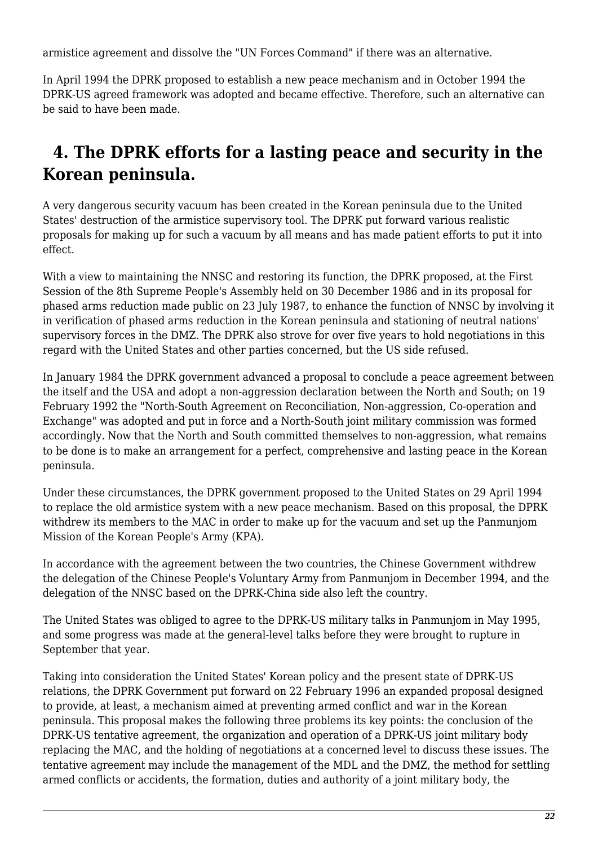armistice agreement and dissolve the "UN Forces Command" if there was an alternative.

In April 1994 the DPRK proposed to establish a new peace mechanism and in October 1994 the DPRK-US agreed framework was adopted and became effective. Therefore, such an alternative can be said to have been made.

## <span id="page-21-0"></span> **4. The DPRK efforts for a lasting peace and security in the Korean peninsula.**

A very dangerous security vacuum has been created in the Korean peninsula due to the United States' destruction of the armistice supervisory tool. The DPRK put forward various realistic proposals for making up for such a vacuum by all means and has made patient efforts to put it into effect.

With a view to maintaining the NNSC and restoring its function, the DPRK proposed, at the First Session of the 8th Supreme People's Assembly held on 30 December 1986 and in its proposal for phased arms reduction made public on 23 July 1987, to enhance the function of NNSC by involving it in verification of phased arms reduction in the Korean peninsula and stationing of neutral nations' supervisory forces in the DMZ. The DPRK also strove for over five years to hold negotiations in this regard with the United States and other parties concerned, but the US side refused.

In January 1984 the DPRK government advanced a proposal to conclude a peace agreement between the itself and the USA and adopt a non-aggression declaration between the North and South; on 19 February 1992 the "North-South Agreement on Reconciliation, Non-aggression, Co-operation and Exchange" was adopted and put in force and a North-South joint military commission was formed accordingly. Now that the North and South committed themselves to non-aggression, what remains to be done is to make an arrangement for a perfect, comprehensive and lasting peace in the Korean peninsula.

Under these circumstances, the DPRK government proposed to the United States on 29 April 1994 to replace the old armistice system with a new peace mechanism. Based on this proposal, the DPRK withdrew its members to the MAC in order to make up for the vacuum and set up the Panmunjom Mission of the Korean People's Army (KPA).

In accordance with the agreement between the two countries, the Chinese Government withdrew the delegation of the Chinese People's Voluntary Army from Panmunjom in December 1994, and the delegation of the NNSC based on the DPRK-China side also left the country.

The United States was obliged to agree to the DPRK-US military talks in Panmunjom in May 1995, and some progress was made at the general-level talks before they were brought to rupture in September that year.

Taking into consideration the United States' Korean policy and the present state of DPRK-US relations, the DPRK Government put forward on 22 February 1996 an expanded proposal designed to provide, at least, a mechanism aimed at preventing armed conflict and war in the Korean peninsula. This proposal makes the following three problems its key points: the conclusion of the DPRK-US tentative agreement, the organization and operation of a DPRK-US joint military body replacing the MAC, and the holding of negotiations at a concerned level to discuss these issues. The tentative agreement may include the management of the MDL and the DMZ, the method for settling armed conflicts or accidents, the formation, duties and authority of a joint military body, the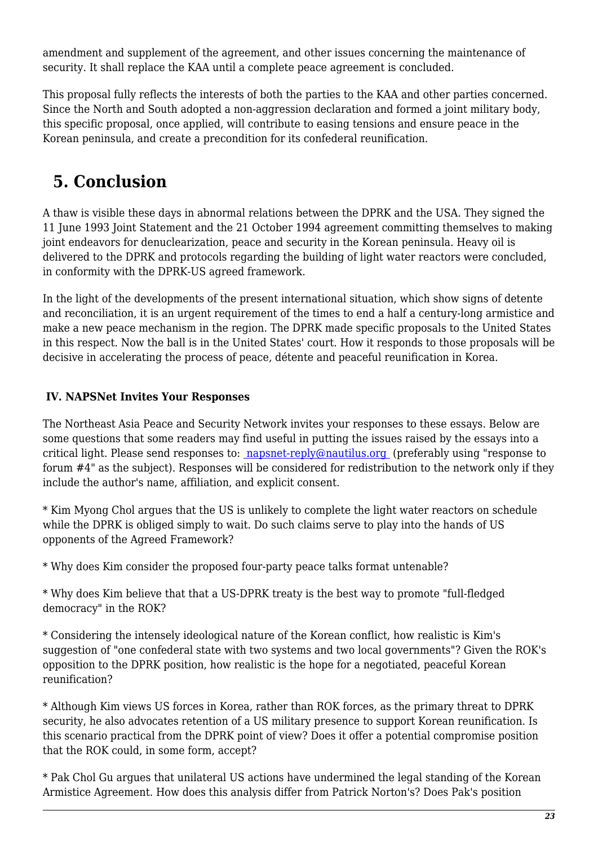amendment and supplement of the agreement, and other issues concerning the maintenance of security. It shall replace the KAA until a complete peace agreement is concluded.

This proposal fully reflects the interests of both the parties to the KAA and other parties concerned. Since the North and South adopted a non-aggression declaration and formed a joint military body, this specific proposal, once applied, will contribute to easing tensions and ensure peace in the Korean peninsula, and create a precondition for its confederal reunification.

### <span id="page-22-1"></span> **5. Conclusion**

A thaw is visible these days in abnormal relations between the DPRK and the USA. They signed the 11 June 1993 Joint Statement and the 21 October 1994 agreement committing themselves to making joint endeavors for denuclearization, peace and security in the Korean peninsula. Heavy oil is delivered to the DPRK and protocols regarding the building of light water reactors were concluded, in conformity with the DPRK-US agreed framework.

In the light of the developments of the present international situation, which show signs of detente and reconciliation, it is an urgent requirement of the times to end a half a century-long armistice and make a new peace mechanism in the region. The DPRK made specific proposals to the United States in this respect. Now the ball is in the United States' court. How it responds to those proposals will be decisive in accelerating the process of peace, détente and peaceful reunification in Korea.

#### <span id="page-22-0"></span> **IV. NAPSNet Invites Your Responses**

The Northeast Asia Peace and Security Network invites your responses to these essays. Below are some questions that some readers may find useful in putting the issues raised by the essays into a critical light. Please send responses to: [napsnet-reply@nautilus.org](mailto:napsnet-reply@nautilus.org (Response to Forum #4)) (preferably using "response to forum #4" as the subject). Responses will be considered for redistribution to the network only if they include the author's name, affiliation, and explicit consent.

\* Kim Myong Chol argues that the US is unlikely to complete the light water reactors on schedule while the DPRK is obliged simply to wait. Do such claims serve to play into the hands of US opponents of the Agreed Framework?

\* Why does Kim consider the proposed four-party peace talks format untenable?

\* Why does Kim believe that that a US-DPRK treaty is the best way to promote "full-fledged democracy" in the ROK?

\* Considering the intensely ideological nature of the Korean conflict, how realistic is Kim's suggestion of "one confederal state with two systems and two local governments"? Given the ROK's opposition to the DPRK position, how realistic is the hope for a negotiated, peaceful Korean reunification?

\* Although Kim views US forces in Korea, rather than ROK forces, as the primary threat to DPRK security, he also advocates retention of a US military presence to support Korean reunification. Is this scenario practical from the DPRK point of view? Does it offer a potential compromise position that the ROK could, in some form, accept?

\* Pak Chol Gu argues that unilateral US actions have undermined the legal standing of the Korean Armistice Agreement. How does this analysis differ from Patrick Norton's? Does Pak's position